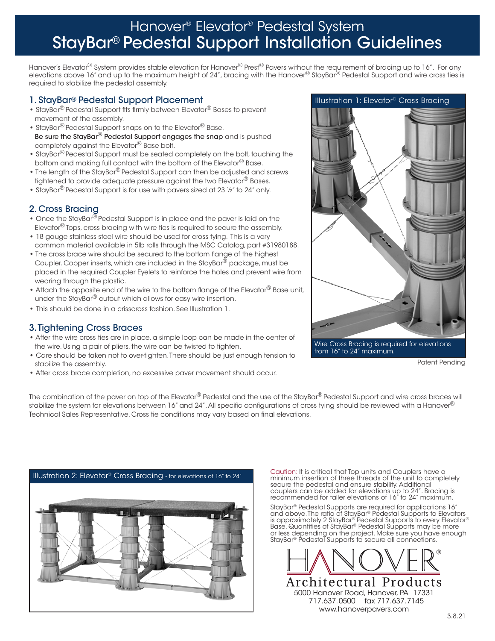# Hanover® Elevator® Pedestal System StayBar® Pedestal Support Installation Guidelines

Hanover's Elevator® System provides stable elevation for Hanover® Prest® Pavers without the requirement of bracing up to 16". For any elevations above 16" and up to the maximum height of 24", bracing with the Hanover® StayBar® Pedestal Support and wire cross ties is required to stabilize the pedestal assembly.

### 1. StayBar® Pedestal Support Placement

- **•** StayBar® Pedestal Support fits firmly between Elevator® Bases to prevent movement of the assembly.
- **•** StayBar® Pedestal Support snaps on to the Elevator® Base. Be sure the StayBar<sup>®</sup> Pedestal Support engages the snap and is pushed completely against the Elevator® Base bolt.
- **•** StayBar® Pedestal Support must be seated completely on the bolt, touching the bottom and making full contact with the bottom of the Elevator<sup>®</sup> Base.
- **•** The length of the StayBar® Pedestal Support can then be adjusted and screws tightened to provide adequate pressure against the two Elevator<sup>®</sup> Bases.
- **•** StayBar® Pedestal Support is for use with pavers sized at 23 ½" to 24" only.

### 2. Cross Bracing

- **•** Once the StayBar® Pedestal Support is in place and the paver is laid on the Elevator<sup>®</sup> Tops, cross bracing with wire ties is required to secure the assembly.
- **•** 18 gauge stainless steel wire should be used for cross tying. This is a very common material available in 5lb rolls through the MSC Catalog, part #31980188.
- **•** The cross brace wire should be secured to the bottom flange of the highest Coupler. Copper inserts, which are included in the StayBar® package, must be placed in the required Coupler Eyelets to reinforce the holes and prevent wire from wearing through the plastic.
- **•** Attach the opposite end of the wire to the bottom flange of the Elevator® Base unit, under the StayBar® cutout which allows for easy wire insertion.
- This should be done in a crisscross fashion. See Illustration 1.

### 3. Tightening Cross Braces

- **•** After the wire cross ties are in place, a simple loop can be made in the center of the wire. Using a pair of pliers, the wire can be twisted to tighten.
- **•** Care should be taken not to over-tighten. There should be just enough tension to stabilize the assembly.
- **•** After cross brace completion, no excessive paver movement should occur.



Patent Pending

The combination of the paver on top of the Elevator® Pedestal and the use of the StayBar® Pedestal Support and wire cross braces will stabilize the system for elevations between 16" and 24". All specific configurations of cross tying should be reviewed with a Hanover® Technical Sales Representative. Cross tie conditions may vary based on final elevations.



Caution: It is critical that Top units and Couplers have a<br>minimum insertion of three threads of the unit to completely secure the pedestal and ensure stability. Additional couplers can be added for elevations up to 24". Bracing is recommended for taller elevations of 16" to 24" maximum.

StayBar® Pedestal Supports are required for applications 16" and above. The ratio of StayBar® Pedestal Supports to Elevators is approximately 2 StayBar® Pedestal Supports to every Elevator® Base. Quantities of StayBar® Pedestal Supports may be more or less depending on the project. Make sure you have enough StayBar® Pedestal Supports to secure all connections.